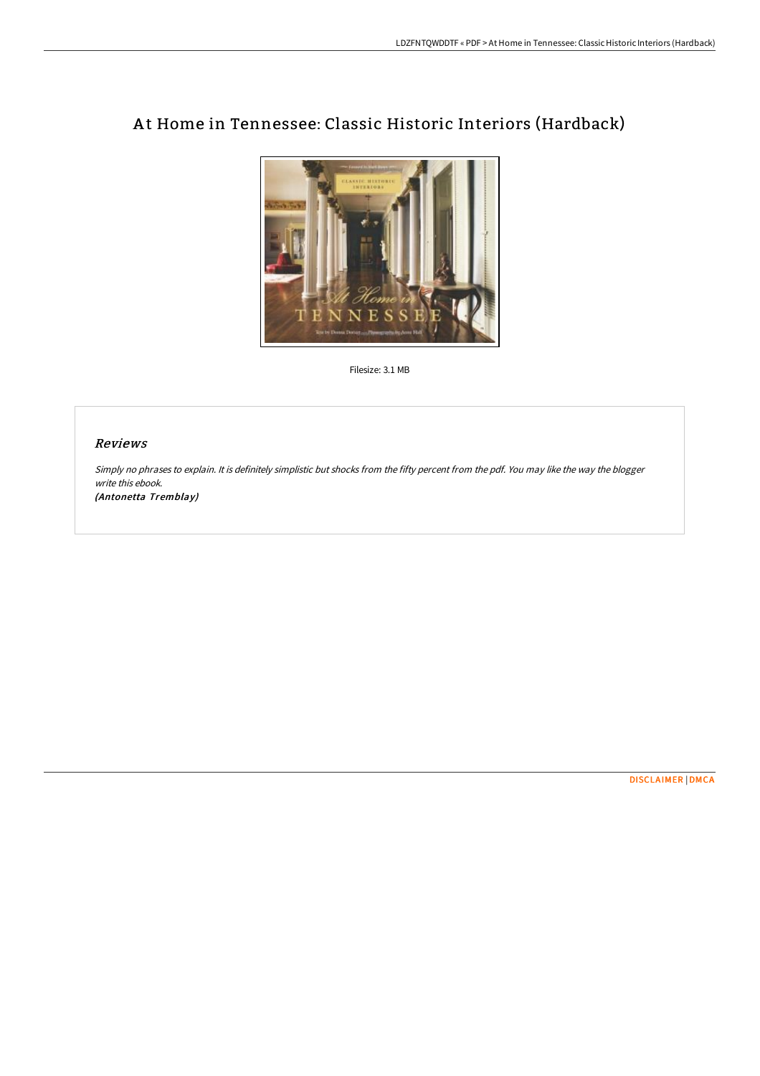

# At Home in Tennessee: Classic Historic Interiors (Hardback)

Filesize: 3.1 MB

#### Reviews

Simply no phrases to explain. It is definitely simplistic but shocks from the fifty percent from the pdf. You may like the way the blogger write this ebook.

(Antonetta Tremblay)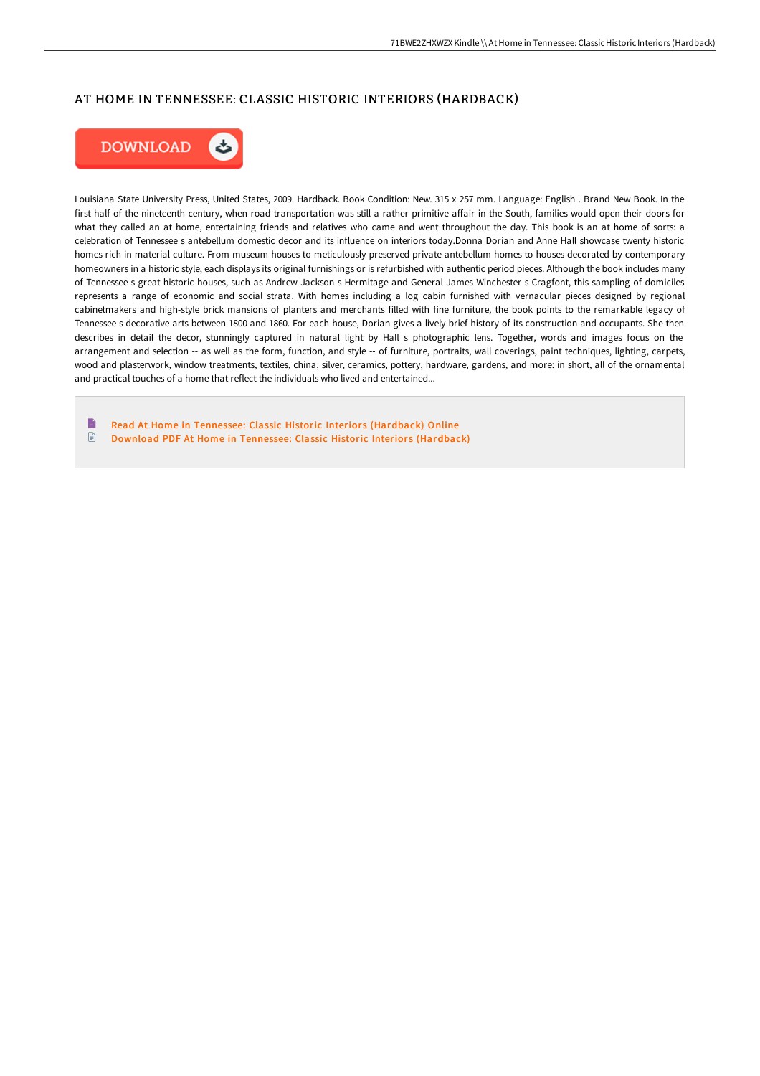## AT HOME IN TENNESSEE: CLASSIC HISTORIC INTERIORS (HARDBACK)



Louisiana State University Press, United States, 2009. Hardback. Book Condition: New. 315 x 257 mm. Language: English . Brand New Book. In the first half of the nineteenth century, when road transportation was still a rather primitive affair in the South, families would open their doors for what they called an at home, entertaining friends and relatives who came and went throughout the day. This book is an at home of sorts: a celebration of Tennessee s antebellum domestic decor and its influence on interiors today.Donna Dorian and Anne Hall showcase twenty historic homes rich in material culture. From museum houses to meticulously preserved private antebellum homes to houses decorated by contemporary homeowners in a historic style, each displays its original furnishings or is refurbished with authentic period pieces. Although the book includes many of Tennessee s great historic houses, such as Andrew Jackson s Hermitage and General James Winchester s Cragfont, this sampling of domiciles represents a range of economic and social strata. With homes including a log cabin furnished with vernacular pieces designed by regional cabinetmakers and high-style brick mansions of planters and merchants filled with fine furniture, the book points to the remarkable legacy of Tennessee s decorative arts between 1800 and 1860. For each house, Dorian gives a lively brief history of its construction and occupants. She then describes in detail the decor, stunningly captured in natural light by Hall s photographic lens. Together, words and images focus on the arrangement and selection -- as well as the form, function, and style -- of furniture, portraits, wall coverings, paint techniques, lighting, carpets, wood and plasterwork, window treatments, textiles, china, silver, ceramics, pottery, hardware, gardens, and more: in short, all of the ornamental and practical touches of a home that reflect the individuals who lived and entertained...

Read At Home in Tennessee: Classic Historic Interiors [\(Hardback\)](http://www.bookdirs.com/at-home-in-tennessee-classic-historic-interiors-.html) Online  $\textcolor{red}{\Box}$ Download PDF At Home in Tennessee: Classic Historic Interiors [\(Hardback\)](http://www.bookdirs.com/at-home-in-tennessee-classic-historic-interiors-.html)